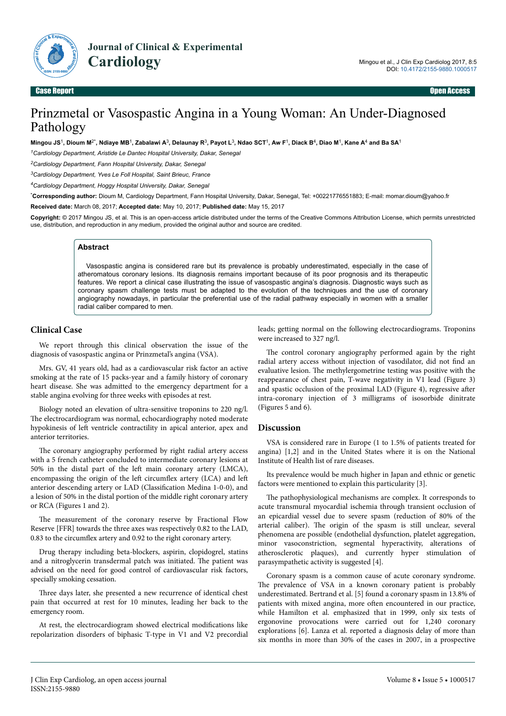

Case Report Open Access

# Prinzmetal or Vasospastic Angina in a Young Woman: An Under-Diagnosed Pathology

**Mingou JS**<sup>1</sup> **, Dioum M**2\***, Ndiaye MB**<sup>1</sup> **, Zabalawi A**<sup>3</sup> **, Delaunay R**<sup>3</sup> **, Payot L**<sup>3</sup> **, Ndao SCT**<sup>1</sup> **, Aw F**<sup>1</sup> **, Diack B**<sup>4</sup> **, Diao M**<sup>1</sup> **, Kane A**<sup>4</sup>  **and Ba SA**<sup>1</sup>

*<sup>1</sup>Cardiology Department, Aristide Le Dantec Hospital University, Dakar, Senegal*

*<sup>2</sup>Cardiology Department, Fann Hospital University, Dakar, Senegal*

*<sup>3</sup>Cardiology Department, Yves Le Foll Hospital, Saint Brieuc, France*

*<sup>4</sup>Cardiology Department, Hoggy Hospital University, Dakar, Senegal*

\***Corresponding author:** Dioum M, Cardiology Department, Fann Hospital University, Dakar, Senegal, Tel: +00221776551883; E-mail: momar.dioum@yahoo.fr

**Received date:** March 08, 2017; **Accepted date:** May 10, 2017; **Published date:** May 15, 2017

**Copyright:** © 2017 Mingou JS, et al. This is an open-access article distributed under the terms of the Creative Commons Attribution License, which permits unrestricted use, distribution, and reproduction in any medium, provided the original author and source are credited.

#### **Abstract**

Vasospastic angina is considered rare but its prevalence is probably underestimated, especially in the case of atheromatous coronary lesions. Its diagnosis remains important because of its poor prognosis and its therapeutic features. We report a clinical case illustrating the issue of vasospastic angina's diagnosis. Diagnostic ways such as coronary spasm challenge tests must be adapted to the evolution of the techniques and the use of coronary angiography nowadays, in particular the preferential use of the radial pathway especially in women with a smaller radial caliber compared to men.

## **Clinical Case**

We report through this clinical observation the issue of the diagnosis of vasospastic angina or Prinzmetal's angina (VSA).

Mrs. GV, 41 years old, had as a cardiovascular risk factor an active smoking at the rate of 15 packs-year and a family history of coronary heart disease. She was admitted to the emergency department for a stable angina evolving for three weeks with episodes at rest.

Biology noted an elevation of ultra-sensitive troponins to 220 ng/l. The electrocardiogram was normal, echocardiography noted moderate hypokinesis of left ventricle contractility in apical anterior, apex and anterior territories.

The coronary angiography performed by right radial artery access with a 5 french catheter concluded to intermediate coronary lesions at 50% in the distal part of the left main coronary artery (LMCA), encompassing the origin of the left circumflex artery (LCA) and left anterior descending artery or LAD (Classification Medina 1-0-0), and a lesion of 50% in the distal portion of the middle right coronary artery or RCA (Figures 1 and 2).

The measurement of the coronary reserve by Fractional Flow Reserve [FFR] towards the three axes was respectively 0.82 to the LAD, 0.83 to the circumflex artery and 0.92 to the right coronary artery.

Drug therapy including beta-blockers, aspirin, clopidogrel, statins and a nitroglycerin transdermal patch was initiated. Нe patient was advised on the need for good control of cardiovascular risk factors, specially smoking cessation.

Three days later, she presented a new recurrence of identical chest pain that occurred at rest for 10 minutes, leading her back to the emergency room.

At rest, the electrocardiogram showed electrical modifications like repolarization disorders of biphasic T-type in V1 and V2 precordial

leads; getting normal on the following electrocardiograms. Troponins were increased to 327 ng/l.

The control coronary angiography performed again by the right radial artery access without injection of vasodilator, did not find an evaluative lesion. Нe methylergometrine testing was positive with the reappearance of chest pain, T-wave negativity in V1 lead (Figure 3) and spastic occlusion of the proximal LAD (Figure 4), regressive after intra-coronary injection of 3 milligrams of isosorbide dinitrate (Figures 5 and 6).

#### **Discussion**

VSA is considered rare in Europe (1 to 1.5% of patients treated for angina) [1,2] and in the United States where it is on the National Institute of Health list of rare diseases.

Its prevalence would be much higher in Japan and ethnic or genetic factors were mentioned to explain this particularity [3].

The pathophysiological mechanisms are complex. It corresponds to acute transmural myocardial ischemia through transient occlusion of an epicardial vessel due to severe spasm (reduction of 80% of the arterial caliber). Нe origin of the spasm is still unclear, several phenomena are possible (endothelial dysfunction, platelet aggregation, minor vasoconstriction, segmental hyperactivity, alterations of atherosclerotic plaques), and currently hyper stimulation of parasympathetic activity is suggested [4].

Coronary spasm is a common cause of acute coronary syndrome. The prevalence of VSA in a known coronary patient is probably underestimated. Bertrand et al. [5] found a coronary spasm in 13.8% of patients with mixed angina, more often encountered in our practice, while Hamilton et al. emphasized that in 1999, only six tests of ergonovine provocations were carried out for 1,240 coronary explorations [6]. Lanza et al. reported a diagnosis delay of more than six months in more than 30% of the cases in 2007, in a prospective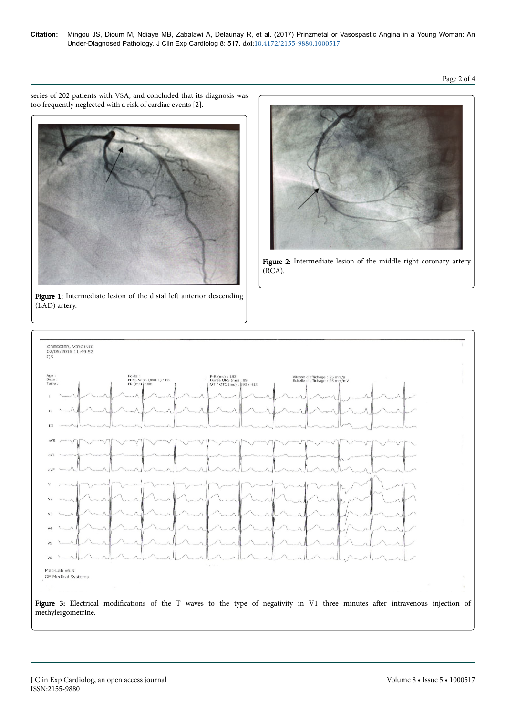series of 202 patients with VSA, and concluded that its diagnosis was too frequently neglected with a risk of cardiac events [2].



Figure 1: Intermediate lesion of the distal left anterior descending (LAD) artery.



Figure 2: Intermediate lesion of the middle right coronary artery (RCA).

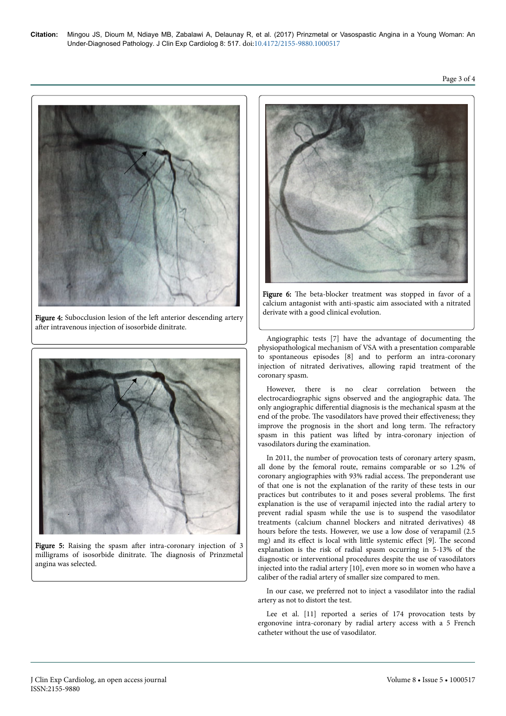

Figure 4: Subocclusion lesion of the left anterior descending artery after intravenous injection of isosorbide dinitrate.



Figure 5: Raising the spasm after intra-coronary injection of 3 milligrams of isosorbide dinitrate. Нe diagnosis of Prinzmetal angina was selected.



Figure 6: The beta-blocker treatment was stopped in favor of a calcium antagonist with anti-spastic aim associated with a nitrated derivate with a good clinical evolution.

Angiographic tests [7] have the advantage of documenting the physiopathological mechanism of VSA with a presentation comparable to spontaneous episodes [8] and to perform an intra-coronary injection of nitrated derivatives, allowing rapid treatment of the coronary spasm.

However, there is no clear correlation between the electrocardiographic signs observed and the angiographic data. Нe only angiographic differential diagnosis is the mechanical spasm at the end of the probe. The vasodilators have proved their effectiveness; they improve the prognosis in the short and long term. Нe refractory spasm in this patient was lifted by intra-coronary injection of vasodilators during the examination.

In 2011, the number of provocation tests of coronary artery spasm, all done by the femoral route, remains comparable or so 1.2% of coronary angiographies with 93% radial access. Нe preponderant use of that one is not the explanation of the rarity of these tests in our practices but contributes to it and poses several problems. Нe first explanation is the use of verapamil injected into the radial artery to prevent radial spasm while the use is to suspend the vasodilator treatments (calcium channel blockers and nitrated derivatives) 48 hours before the tests. However, we use a low dose of verapamil (2.5 mg) and its effect is local with little systemic effect [9]. The second explanation is the risk of radial spasm occurring in 5-13% of the diagnostic or interventional procedures despite the use of vasodilators injected into the radial artery [10], even more so in women who have a caliber of the radial artery of smaller size compared to men.

In our case, we preferred not to inject a vasodilator into the radial artery as not to distort the test.

Lee et al. [11] reported a series of 174 provocation tests by ergonovine intra-coronary by radial artery access with a 5 French catheter without the use of vasodilator.